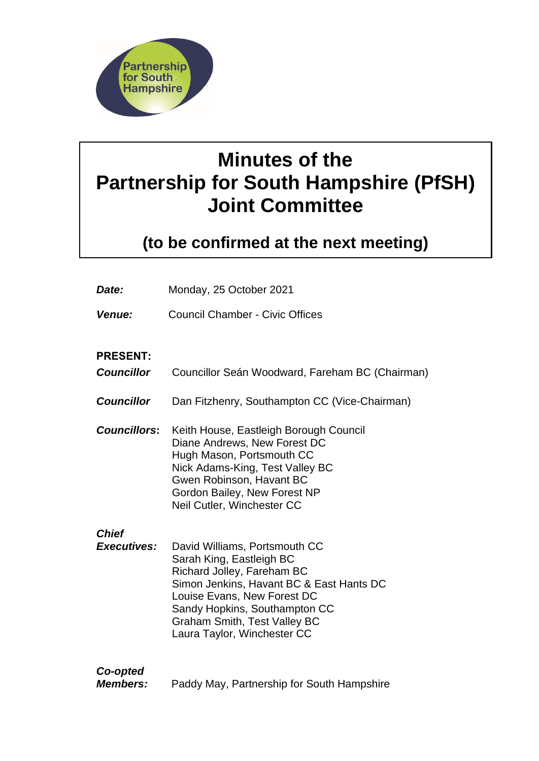

# **Minutes of the Partnership for South Hampshire (PfSH) Joint Committee**

**(to be confirmed at the next meeting)**

| Date:                                | Monday, 25 October 2021                                                                                                                                                                                                                                                   |
|--------------------------------------|---------------------------------------------------------------------------------------------------------------------------------------------------------------------------------------------------------------------------------------------------------------------------|
| Venue:                               | <b>Council Chamber - Civic Offices</b>                                                                                                                                                                                                                                    |
| <b>PRESENT:</b><br><b>Councillor</b> | Councillor Seán Woodward, Fareham BC (Chairman)                                                                                                                                                                                                                           |
| <b>Councillor</b>                    | Dan Fitzhenry, Southampton CC (Vice-Chairman)                                                                                                                                                                                                                             |
| <b>Councillors:</b>                  | Keith House, Eastleigh Borough Council<br>Diane Andrews, New Forest DC<br>Hugh Mason, Portsmouth CC<br>Nick Adams-King, Test Valley BC<br>Gwen Robinson, Havant BC<br>Gordon Bailey, New Forest NP<br>Neil Cutler, Winchester CC                                          |
| <b>Chief</b><br><b>Executives:</b>   | David Williams, Portsmouth CC<br>Sarah King, Eastleigh BC<br>Richard Jolley, Fareham BC<br>Simon Jenkins, Havant BC & East Hants DC<br>Louise Evans, New Forest DC<br>Sandy Hopkins, Southampton CC<br><b>Graham Smith, Test Valley BC</b><br>Laura Taylor, Winchester CC |
| Co-opted<br><b>Members:</b>          | Paddy May, Partnership for South Hampshire                                                                                                                                                                                                                                |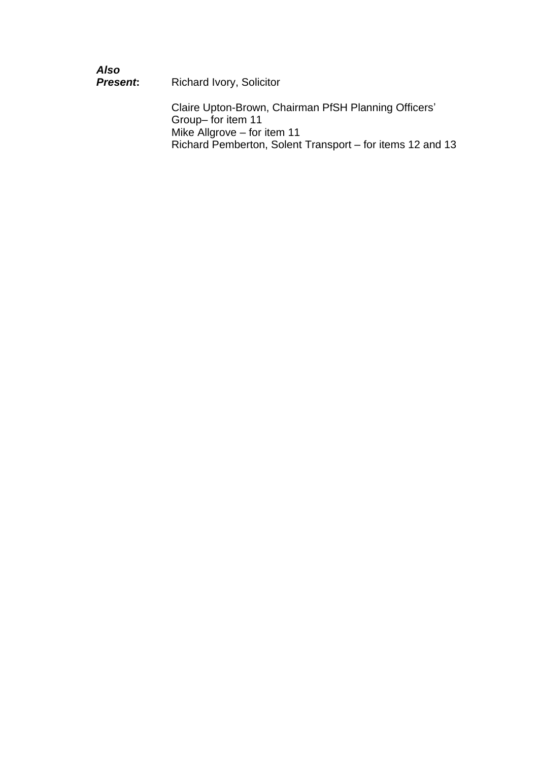| Also<br><b>Present:</b> | <b>Richard Ivory, Solicitor</b>                                           |
|-------------------------|---------------------------------------------------------------------------|
|                         | Claire Upton-Brown, Chairman PfSH Planning Officers'<br>Group-for item 11 |
|                         | Mike Allgrove - for item 11                                               |
|                         | Richard Pemberton, Solent Transport – for items 12 and 13                 |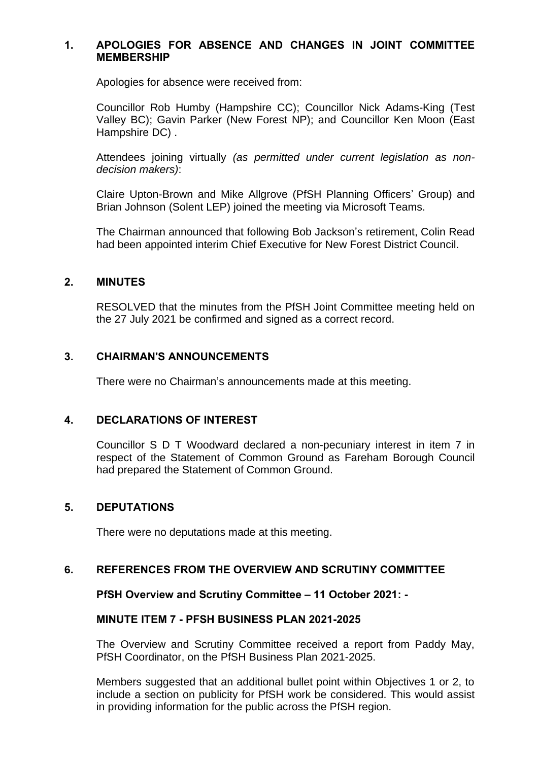### **1. APOLOGIES FOR ABSENCE AND CHANGES IN JOINT COMMITTEE MEMBERSHIP**

Apologies for absence were received from:

Councillor Rob Humby (Hampshire CC); Councillor Nick Adams-King (Test Valley BC); Gavin Parker (New Forest NP); and Councillor Ken Moon (East Hampshire DC) .

Attendees joining virtually *(as permitted under current legislation as nondecision makers)*:

Claire Upton-Brown and Mike Allgrove (PfSH Planning Officers' Group) and Brian Johnson (Solent LEP) joined the meeting via Microsoft Teams.

The Chairman announced that following Bob Jackson's retirement, Colin Read had been appointed interim Chief Executive for New Forest District Council.

#### **2. MINUTES**

RESOLVED that the minutes from the PfSH Joint Committee meeting held on the 27 July 2021 be confirmed and signed as a correct record.

## **3. CHAIRMAN'S ANNOUNCEMENTS**

There were no Chairman's announcements made at this meeting.

#### **4. DECLARATIONS OF INTEREST**

Councillor S D T Woodward declared a non-pecuniary interest in item 7 in respect of the Statement of Common Ground as Fareham Borough Council had prepared the Statement of Common Ground.

## **5. DEPUTATIONS**

There were no deputations made at this meeting.

#### **6. REFERENCES FROM THE OVERVIEW AND SCRUTINY COMMITTEE**

#### **PfSH Overview and Scrutiny Committee – 11 October 2021: -**

#### **MINUTE ITEM 7 - PFSH BUSINESS PLAN 2021-2025**

The Overview and Scrutiny Committee received a report from Paddy May, PfSH Coordinator, on the PfSH Business Plan 2021-2025.

Members suggested that an additional bullet point within Objectives 1 or 2, to include a section on publicity for PfSH work be considered. This would assist in providing information for the public across the PfSH region.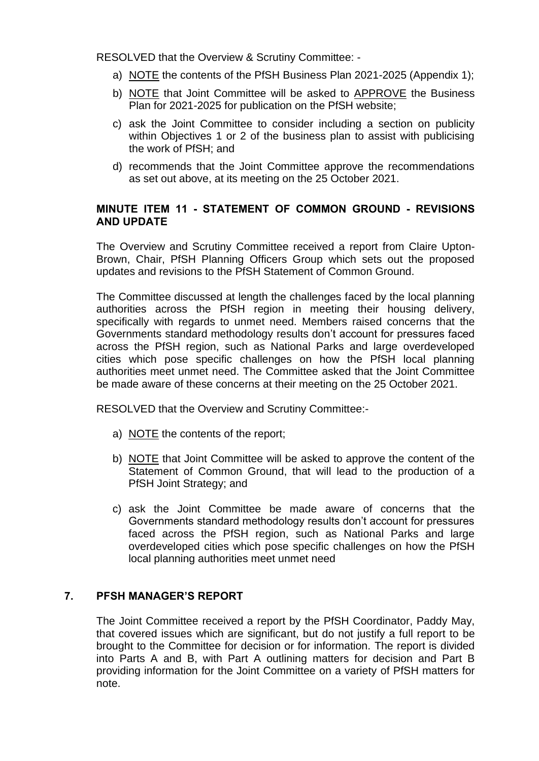RESOLVED that the Overview & Scrutiny Committee: -

- a) NOTE the contents of the PfSH Business Plan 2021-2025 (Appendix 1);
- b) NOTE that Joint Committee will be asked to APPROVE the Business Plan for 2021-2025 for publication on the PfSH website;
- c) ask the Joint Committee to consider including a section on publicity within Objectives 1 or 2 of the business plan to assist with publicising the work of PfSH; and
- d) recommends that the Joint Committee approve the recommendations as set out above, at its meeting on the 25 October 2021.

# **MINUTE ITEM 11 - STATEMENT OF COMMON GROUND - REVISIONS AND UPDATE**

The Overview and Scrutiny Committee received a report from Claire Upton-Brown, Chair, PfSH Planning Officers Group which sets out the proposed updates and revisions to the PfSH Statement of Common Ground.

The Committee discussed at length the challenges faced by the local planning authorities across the PfSH region in meeting their housing delivery, specifically with regards to unmet need. Members raised concerns that the Governments standard methodology results don't account for pressures faced across the PfSH region, such as National Parks and large overdeveloped cities which pose specific challenges on how the PfSH local planning authorities meet unmet need. The Committee asked that the Joint Committee be made aware of these concerns at their meeting on the 25 October 2021.

RESOLVED that the Overview and Scrutiny Committee:-

- a) NOTE the contents of the report;
- b) NOTE that Joint Committee will be asked to approve the content of the Statement of Common Ground, that will lead to the production of a PfSH Joint Strategy; and
- c) ask the Joint Committee be made aware of concerns that the Governments standard methodology results don't account for pressures faced across the PfSH region, such as National Parks and large overdeveloped cities which pose specific challenges on how the PfSH local planning authorities meet unmet need

## **7. PFSH MANAGER'S REPORT**

The Joint Committee received a report by the PfSH Coordinator, Paddy May, that covered issues which are significant, but do not justify a full report to be brought to the Committee for decision or for information. The report is divided into Parts A and B, with Part A outlining matters for decision and Part B providing information for the Joint Committee on a variety of PfSH matters for note.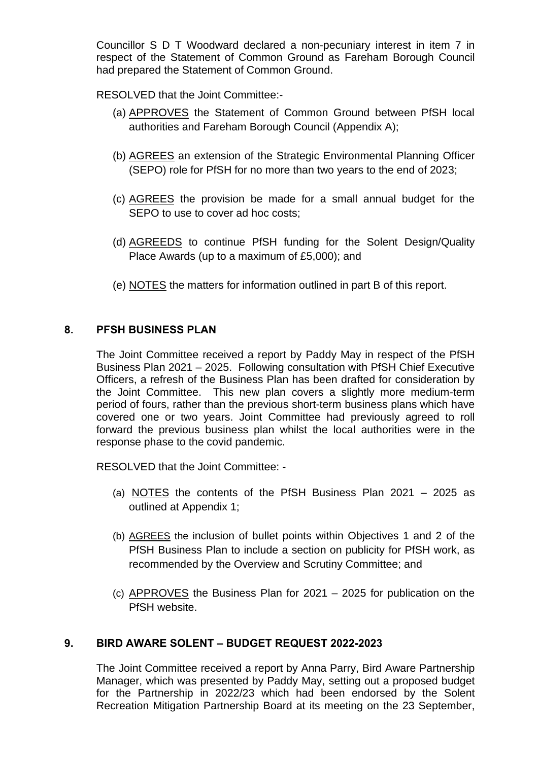Councillor S D T Woodward declared a non-pecuniary interest in item 7 in respect of the Statement of Common Ground as Fareham Borough Council had prepared the Statement of Common Ground.

RESOLVED that the Joint Committee:-

- (a) APPROVES the Statement of Common Ground between PfSH local authorities and Fareham Borough Council (Appendix A);
- (b) AGREES an extension of the Strategic Environmental Planning Officer (SEPO) role for PfSH for no more than two years to the end of 2023;
- (c) AGREES the provision be made for a small annual budget for the SEPO to use to cover ad hoc costs:
- (d) AGREEDS to continue PfSH funding for the Solent Design/Quality Place Awards (up to a maximum of £5,000); and
- (e) NOTES the matters for information outlined in part B of this report.

# **8. PFSH BUSINESS PLAN**

The Joint Committee received a report by Paddy May in respect of the PfSH Business Plan 2021 – 2025. Following consultation with PfSH Chief Executive Officers, a refresh of the Business Plan has been drafted for consideration by the Joint Committee. This new plan covers a slightly more medium-term period of fours, rather than the previous short-term business plans which have covered one or two years. Joint Committee had previously agreed to roll forward the previous business plan whilst the local authorities were in the response phase to the covid pandemic.

RESOLVED that the Joint Committee: -

- (a) NOTES the contents of the PfSH Business Plan  $2021 2025$  as outlined at Appendix 1;
- (b) AGREES the inclusion of bullet points within Objectives 1 and 2 of the PfSH Business Plan to include a section on publicity for PfSH work, as recommended by the Overview and Scrutiny Committee; and
- (c) APPROVES the Business Plan for 2021 2025 for publication on the PfSH website.

## **9. BIRD AWARE SOLENT – BUDGET REQUEST 2022-2023**

The Joint Committee received a report by Anna Parry, Bird Aware Partnership Manager, which was presented by Paddy May, setting out a proposed budget for the Partnership in 2022/23 which had been endorsed by the Solent Recreation Mitigation Partnership Board at its meeting on the 23 September,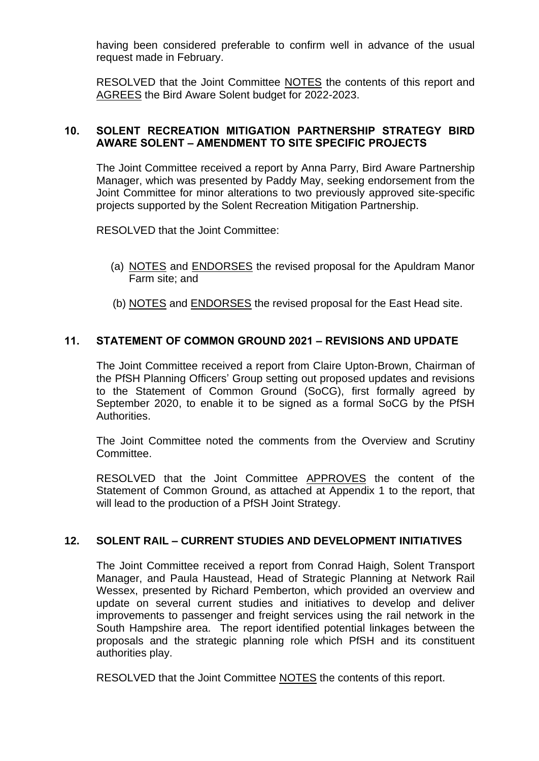having been considered preferable to confirm well in advance of the usual request made in February.

RESOLVED that the Joint Committee NOTES the contents of this report and AGREES the Bird Aware Solent budget for 2022-2023.

# **10. SOLENT RECREATION MITIGATION PARTNERSHIP STRATEGY BIRD AWARE SOLENT – AMENDMENT TO SITE SPECIFIC PROJECTS**

The Joint Committee received a report by Anna Parry, Bird Aware Partnership Manager, which was presented by Paddy May, seeking endorsement from the Joint Committee for minor alterations to two previously approved site-specific projects supported by the Solent Recreation Mitigation Partnership.

RESOLVED that the Joint Committee:

- (a) NOTES and ENDORSES the revised proposal for the Apuldram Manor Farm site; and
- (b) NOTES and ENDORSES the revised proposal for the East Head site.

# **11. STATEMENT OF COMMON GROUND 2021 – REVISIONS AND UPDATE**

The Joint Committee received a report from Claire Upton-Brown, Chairman of the PfSH Planning Officers' Group setting out proposed updates and revisions to the Statement of Common Ground (SoCG), first formally agreed by September 2020, to enable it to be signed as a formal SoCG by the PfSH Authorities.

The Joint Committee noted the comments from the Overview and Scrutiny Committee.

RESOLVED that the Joint Committee APPROVES the content of the Statement of Common Ground, as attached at Appendix 1 to the report, that will lead to the production of a PfSH Joint Strategy.

# **12. SOLENT RAIL – CURRENT STUDIES AND DEVELOPMENT INITIATIVES**

The Joint Committee received a report from Conrad Haigh, Solent Transport Manager, and Paula Haustead, Head of Strategic Planning at Network Rail Wessex, presented by Richard Pemberton, which provided an overview and update on several current studies and initiatives to develop and deliver improvements to passenger and freight services using the rail network in the South Hampshire area. The report identified potential linkages between the proposals and the strategic planning role which PfSH and its constituent authorities play.

RESOLVED that the Joint Committee NOTES the contents of this report.